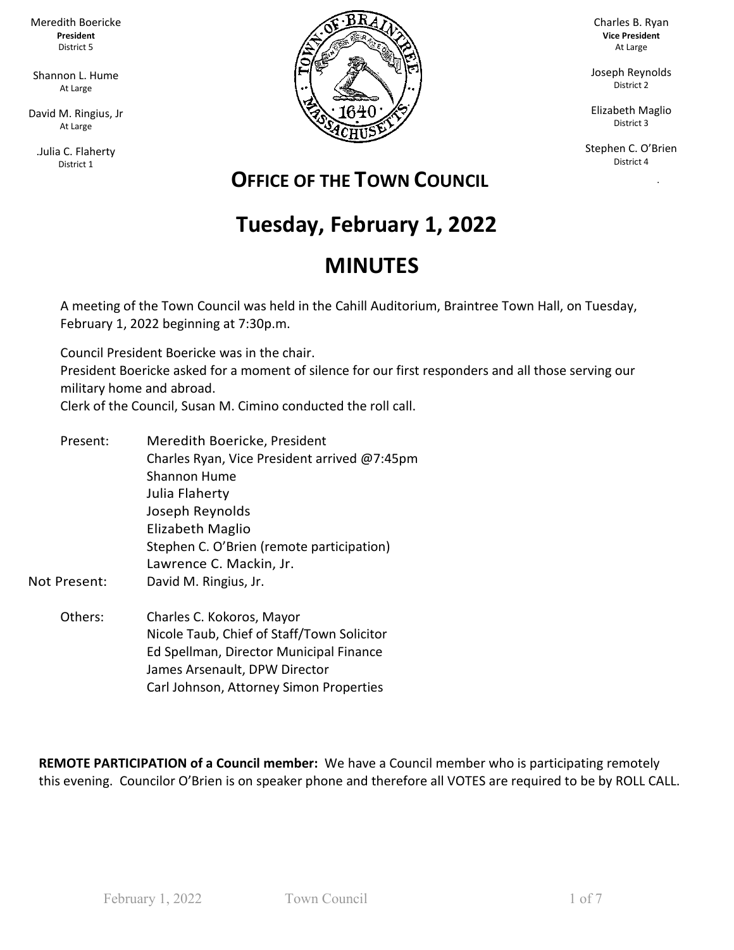Meredith Boericke **President** District 5

Shannon L. Hume At Large

David M. Ringius, Jr At Large

.Julia C. Flaherty District 1



Charles B. Ryan **Vice President** At Large

Joseph Reynolds District 2

Elizabeth Maglio District 3

Stephen C. O'Brien District 4

ka Pangka

### **OFFICE OF THE TOWN COUNCIL**

# **Tuesday, February 1, 2022**

## **MINUTES**

A meeting of the Town Council was held in the Cahill Auditorium, Braintree Town Hall, on Tuesday, February 1, 2022 beginning at 7:30p.m.

Council President Boericke was in the chair. President Boericke asked for a moment of silence for our first responders and all those serving our military home and abroad.

Clerk of the Council, Susan M. Cimino conducted the roll call.

- Present: Meredith Boericke, President Charles Ryan, Vice President arrived @7:45pm Shannon Hume Julia Flaherty Joseph Reynolds Elizabeth Maglio Stephen C. O'Brien (remote participation) Lawrence C. Mackin, Jr. Not Present: David M. Ringius, Jr.
	- Others: Charles C. Kokoros, Mayor Nicole Taub, Chief of Staff/Town Solicitor Ed Spellman, Director Municipal Finance James Arsenault, DPW Director Carl Johnson, Attorney Simon Properties

**REMOTE PARTICIPATION of a Council member:** We have a Council member who is participating remotely this evening. Councilor O'Brien is on speaker phone and therefore all VOTES are required to be by ROLL CALL.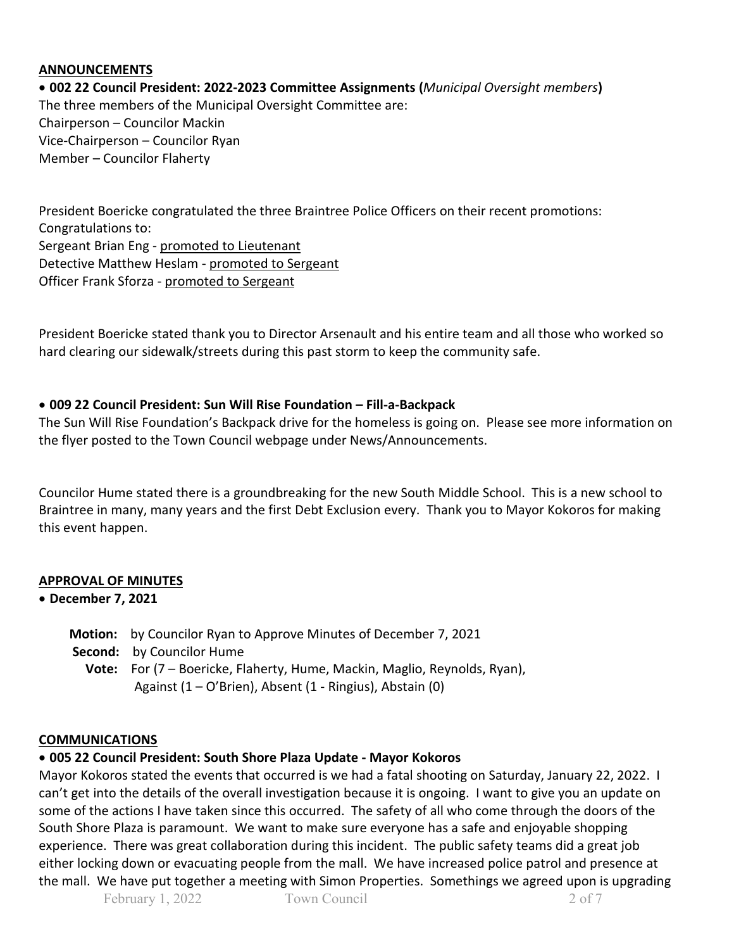#### **ANNOUNCEMENTS**

• **002 22 Council President: 2022-2023 Committee Assignments (***Municipal Oversight members***)** The three members of the Municipal Oversight Committee are: Chairperson – Councilor Mackin Vice-Chairperson – Councilor Ryan Member – Councilor Flaherty

President Boericke congratulated the three Braintree Police Officers on their recent promotions: Congratulations to: Sergeant Brian Eng - promoted to Lieutenant Detective Matthew Heslam - promoted to Sergeant Officer Frank Sforza - promoted to Sergeant

President Boericke stated thank you to Director Arsenault and his entire team and all those who worked so hard clearing our sidewalk/streets during this past storm to keep the community safe.

#### • **009 22 Council President: Sun Will Rise Foundation – Fill-a-Backpack**

The Sun Will Rise Foundation's Backpack drive for the homeless is going on. Please see more information on the flyer posted to the Town Council webpage under News/Announcements.

Councilor Hume stated there is a groundbreaking for the new South Middle School. This is a new school to Braintree in many, many years and the first Debt Exclusion every. Thank you to Mayor Kokoros for making this event happen.

#### **APPROVAL OF MINUTES**

#### • **December 7, 2021**

| <b>Motion:</b> by Councilor Ryan to Approve Minutes of December 7, 2021          |
|----------------------------------------------------------------------------------|
| <b>Second:</b> by Councilor Hume                                                 |
| <b>Vote:</b> For (7 – Boericke, Flaherty, Hume, Mackin, Maglio, Reynolds, Ryan), |
| Against (1 – O'Brien), Absent (1 - Ringius), Abstain (0)                         |

### **COMMUNICATIONS**

#### • **005 22 Council President: South Shore Plaza Update - Mayor Kokoros**

Mayor Kokoros stated the events that occurred is we had a fatal shooting on Saturday, January 22, 2022. I can't get into the details of the overall investigation because it is ongoing. I want to give you an update on some of the actions I have taken since this occurred. The safety of all who come through the doors of the South Shore Plaza is paramount. We want to make sure everyone has a safe and enjoyable shopping experience. There was great collaboration during this incident. The public safety teams did a great job either locking down or evacuating people from the mall. We have increased police patrol and presence at the mall. We have put together a meeting with Simon Properties. Somethings we agreed upon is upgrading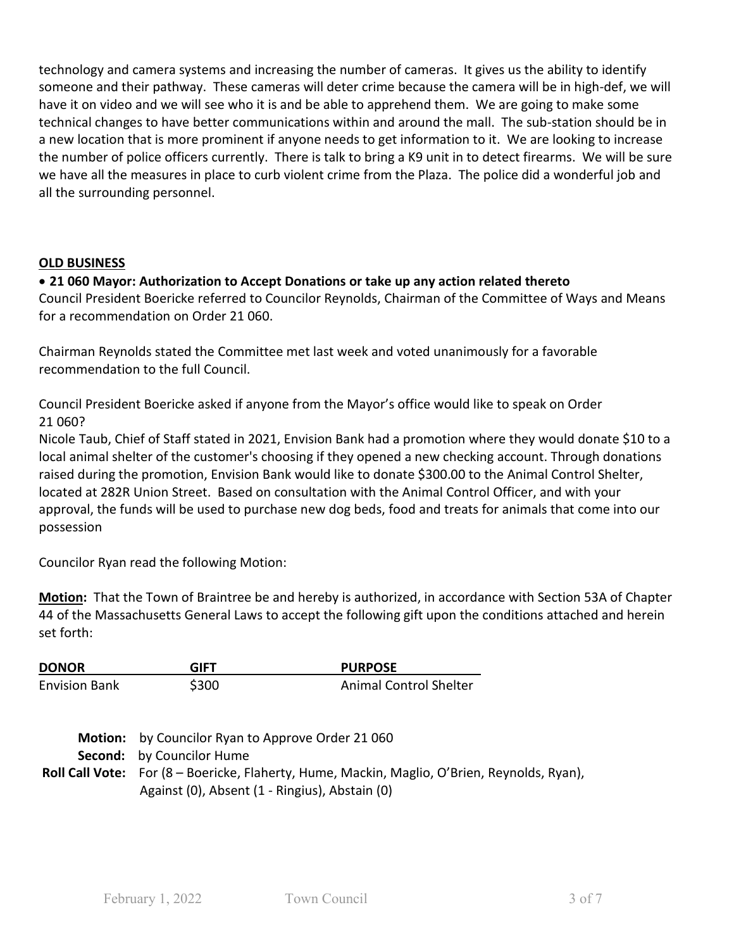technology and camera systems and increasing the number of cameras. It gives us the ability to identify someone and their pathway. These cameras will deter crime because the camera will be in high-def, we will have it on video and we will see who it is and be able to apprehend them. We are going to make some technical changes to have better communications within and around the mall. The sub-station should be in a new location that is more prominent if anyone needs to get information to it. We are looking to increase the number of police officers currently. There is talk to bring a K9 unit in to detect firearms. We will be sure we have all the measures in place to curb violent crime from the Plaza. The police did a wonderful job and all the surrounding personnel.

#### **OLD BUSINESS**

#### • **21 060 Mayor: Authorization to Accept Donations or take up any action related thereto**

Council President Boericke referred to Councilor Reynolds, Chairman of the Committee of Ways and Means for a recommendation on Order 21 060.

Chairman Reynolds stated the Committee met last week and voted unanimously for a favorable recommendation to the full Council.

Council President Boericke asked if anyone from the Mayor's office would like to speak on Order 21 060?

Nicole Taub, Chief of Staff stated in 2021, Envision Bank had a promotion where they would donate \$10 to a local animal shelter of the customer's choosing if they opened a new checking account. Through donations raised during the promotion, Envision Bank would like to donate \$300.00 to the Animal Control Shelter, located at 282R Union Street. Based on consultation with the Animal Control Officer, and with your approval, the funds will be used to purchase new dog beds, food and treats for animals that come into our possession

Councilor Ryan read the following Motion:

**Motion:** That the Town of Braintree be and hereby is authorized, in accordance with Section 53A of Chapter 44 of the Massachusetts General Laws to accept the following gift upon the conditions attached and herein set forth:

| <b>DONOR</b>         | GIFT                                                                                                                                    | <b>PURPOSE</b>                                                                               |  |
|----------------------|-----------------------------------------------------------------------------------------------------------------------------------------|----------------------------------------------------------------------------------------------|--|
| <b>Envision Bank</b> | \$300                                                                                                                                   | <b>Animal Control Shelter</b>                                                                |  |
|                      | Motion: by Councilor Ryan to Approve Order 21 060<br><b>Second:</b> by Councilor Hume<br>Against (0), Absent (1 - Ringius), Abstain (0) | Roll Call Vote: For (8 - Boericke, Flaherty, Hume, Mackin, Maglio, O'Brien, Reynolds, Ryan), |  |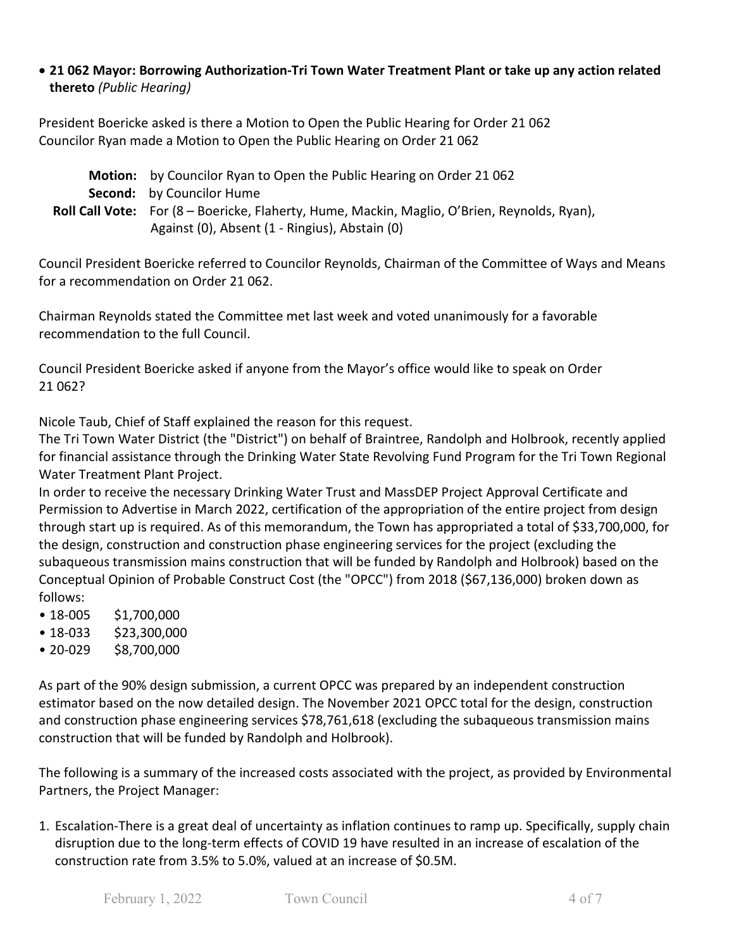#### • **21 062 Mayor: Borrowing Authorization-Tri Town Water Treatment Plant or take up any action related thereto** *(Public Hearing)*

President Boericke asked is there a Motion to Open the Public Hearing for Order 21 062 Councilor Ryan made a Motion to Open the Public Hearing on Order 21 062

| <b>Motion:</b> by Councilor Ryan to Open the Public Hearing on Order 21062                          |
|-----------------------------------------------------------------------------------------------------|
| <b>Second:</b> by Councilor Hume                                                                    |
| <b>Roll Call Vote:</b> For (8 – Boericke, Flaherty, Hume, Mackin, Maglio, O'Brien, Reynolds, Ryan), |
| Against (0), Absent (1 - Ringius), Abstain (0)                                                      |

Council President Boericke referred to Councilor Reynolds, Chairman of the Committee of Ways and Means for a recommendation on Order 21 062.

Chairman Reynolds stated the Committee met last week and voted unanimously for a favorable recommendation to the full Council.

Council President Boericke asked if anyone from the Mayor's office would like to speak on Order 21 062?

Nicole Taub, Chief of Staff explained the reason for this request.

The Tri Town Water District (the "District") on behalf of Braintree, Randolph and Holbrook, recently applied for financial assistance through the Drinking Water State Revolving Fund Program for the Tri Town Regional Water Treatment Plant Project.

In order to receive the necessary Drinking Water Trust and MassDEP Project Approval Certificate and Permission to Advertise in March 2022, certification of the appropriation of the entire project from design through start up is required. As of this memorandum, the Town has appropriated a total of \$33,700,000, for the design, construction and construction phase engineering services for the project (excluding the subaqueous transmission mains construction that will be funded by Randolph and Holbrook) based on the Conceptual Opinion of Probable Construct Cost (the "OPCC") from 2018 (\$67,136,000) broken down as follows:

- 18-005 \$1,700,000
- 18-033 \$23,300,000
- 20-029 \$8,700,000

As part of the 90% design submission, a current OPCC was prepared by an independent construction estimator based on the now detailed design. The November 2021 OPCC total for the design, construction and construction phase engineering services \$78,761,618 (excluding the subaqueous transmission mains construction that will be funded by Randolph and Holbrook).

The following is a summary of the increased costs associated with the project, as provided by Environmental Partners, the Project Manager:

1. Escalation-There is a great deal of uncertainty as inflation continues to ramp up. Specifically, supply chain disruption due to the long-term effects of COVID 19 have resulted in an increase of escalation of the construction rate from 3.5% to 5.0%, valued at an increase of \$0.5M.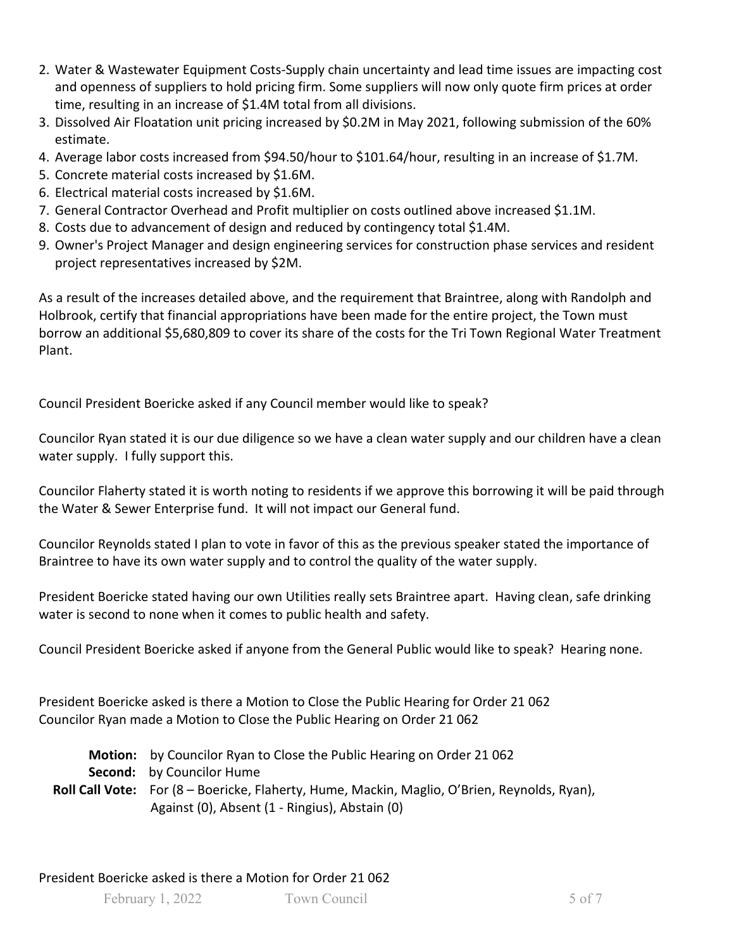- 2. Water & Wastewater Equipment Costs-Supply chain uncertainty and lead time issues are impacting cost and openness of suppliers to hold pricing firm. Some suppliers will now only quote firm prices at order time, resulting in an increase of \$1.4M total from all divisions.
- 3. Dissolved Air Floatation unit pricing increased by \$0.2M in May 2021, following submission of the 60% estimate.
- 4. Average labor costs increased from \$94.50/hour to \$101.64/hour, resulting in an increase of \$1.7M.
- 5. Concrete material costs increased by \$1.6M.
- 6. Electrical material costs increased by \$1.6M.
- 7. General Contractor Overhead and Profit multiplier on costs outlined above increased \$1.1M.
- 8. Costs due to advancement of design and reduced by contingency total \$1.4M.
- 9. Owner's Project Manager and design engineering services for construction phase services and resident project representatives increased by \$2M.

As a result of the increases detailed above, and the requirement that Braintree, along with Randolph and Holbrook, certify that financial appropriations have been made for the entire project, the Town must borrow an additional \$5,680,809 to cover its share of the costs for the Tri Town Regional Water Treatment Plant.

Council President Boericke asked if any Council member would like to speak?

Councilor Ryan stated it is our due diligence so we have a clean water supply and our children have a clean water supply. I fully support this.

Councilor Flaherty stated it is worth noting to residents if we approve this borrowing it will be paid through the Water & Sewer Enterprise fund. It will not impact our General fund.

Councilor Reynolds stated I plan to vote in favor of this as the previous speaker stated the importance of Braintree to have its own water supply and to control the quality of the water supply.

President Boericke stated having our own Utilities really sets Braintree apart. Having clean, safe drinking water is second to none when it comes to public health and safety.

Council President Boericke asked if anyone from the General Public would like to speak? Hearing none.

President Boericke asked is there a Motion to Close the Public Hearing for Order 21 062 Councilor Ryan made a Motion to Close the Public Hearing on Order 21 062

| <b>Motion:</b> by Councilor Ryan to Close the Public Hearing on Order 21062                         |
|-----------------------------------------------------------------------------------------------------|
| <b>Second:</b> by Councilor Hume                                                                    |
| <b>Roll Call Vote:</b> For (8 – Boericke, Flaherty, Hume, Mackin, Maglio, O'Brien, Reynolds, Ryan), |
| Against (0), Absent (1 - Ringius), Abstain (0)                                                      |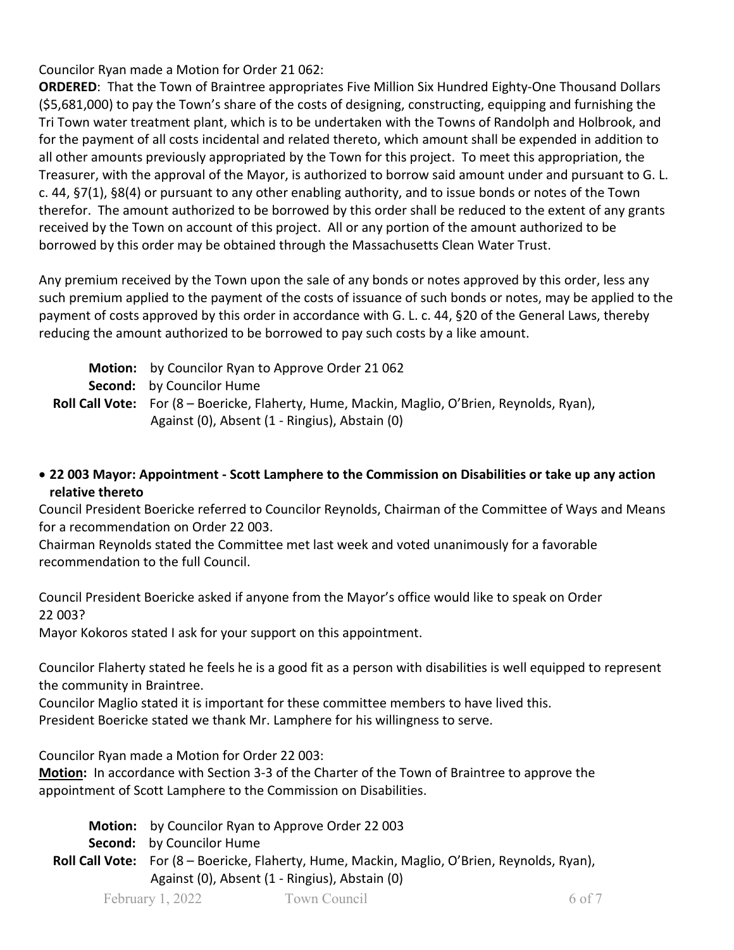Councilor Ryan made a Motion for Order 21 062:

**ORDERED**: That the Town of Braintree appropriates Five Million Six Hundred Eighty-One Thousand Dollars (\$5,681,000) to pay the Town's share of the costs of designing, constructing, equipping and furnishing the Tri Town water treatment plant, which is to be undertaken with the Towns of Randolph and Holbrook, and for the payment of all costs incidental and related thereto, which amount shall be expended in addition to all other amounts previously appropriated by the Town for this project. To meet this appropriation, the Treasurer, with the approval of the Mayor, is authorized to borrow said amount under and pursuant to G. L. c. 44, §7(1), §8(4) or pursuant to any other enabling authority, and to issue bonds or notes of the Town therefor. The amount authorized to be borrowed by this order shall be reduced to the extent of any grants received by the Town on account of this project. All or any portion of the amount authorized to be borrowed by this order may be obtained through the Massachusetts Clean Water Trust.

Any premium received by the Town upon the sale of any bonds or notes approved by this order, less any such premium applied to the payment of the costs of issuance of such bonds or notes, may be applied to the payment of costs approved by this order in accordance with G. L. c. 44, §20 of the General Laws, thereby reducing the amount authorized to be borrowed to pay such costs by a like amount.

| <b>Motion:</b> by Councilor Ryan to Approve Order 21062                                             |
|-----------------------------------------------------------------------------------------------------|
| <b>Second:</b> by Councilor Hume                                                                    |
| <b>Roll Call Vote:</b> For (8 – Boericke, Flaherty, Hume, Mackin, Maglio, O'Brien, Reynolds, Ryan), |
| Against (0), Absent (1 - Ringius), Abstain (0)                                                      |

• **22 003 Mayor: Appointment - Scott Lamphere to the Commission on Disabilities or take up any action relative thereto**

Council President Boericke referred to Councilor Reynolds, Chairman of the Committee of Ways and Means for a recommendation on Order 22 003.

Chairman Reynolds stated the Committee met last week and voted unanimously for a favorable recommendation to the full Council.

Council President Boericke asked if anyone from the Mayor's office would like to speak on Order 22 003?

Mayor Kokoros stated I ask for your support on this appointment.

Councilor Flaherty stated he feels he is a good fit as a person with disabilities is well equipped to represent the community in Braintree.

Councilor Maglio stated it is important for these committee members to have lived this. President Boericke stated we thank Mr. Lamphere for his willingness to serve.

Councilor Ryan made a Motion for Order 22 003:

**Motion:** In accordance with Section 3-3 of the Charter of the Town of Braintree to approve the appointment of Scott Lamphere to the Commission on Disabilities.

February 1, 2022 Town Council 6 of 7  **Motion:** by Councilor Ryan to Approve Order 22 003  **Second:** by Councilor Hume **Roll Call Vote:** For (8 – Boericke, Flaherty, Hume, Mackin, Maglio, O'Brien, Reynolds, Ryan), Against (0), Absent (1 - Ringius), Abstain (0)